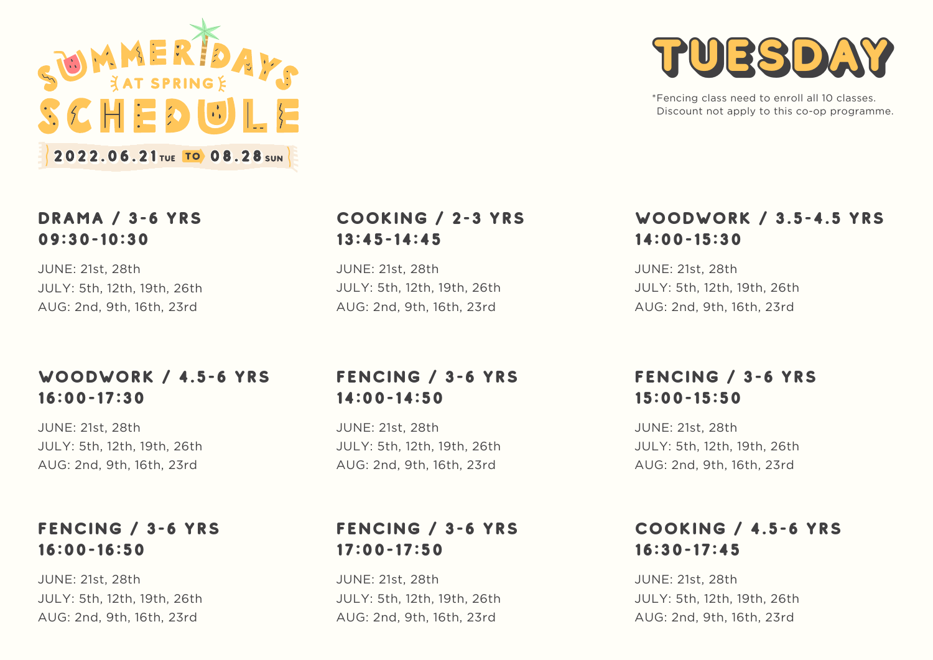

#### DRAMA / 3-6 YRS 09:30-10:30

JUNE: 21st, 28th JULY: 5th, 12th, 19th, 26th AUG: 2nd, 9th, 16th, 23rd

## WOODWORK / 4.5-6 YRS 16:00-17:30

JUNE: 21st, 28th JULY: 5th, 12th, 19th, 26th AUG: 2nd, 9th, 16th, 23rd

## FENCING / 3-6 YRS 16:00-16:50

JUNE: 21st, 28th JULY: 5th, 12th, 19th, 26th AUG: 2nd, 9th, 16th, 23rd

#### COOKING / 2-3 YRS 13:45-14:45

JUNE: 21st, 28th JULY: 5th, 12th, 19th, 26th AUG: 2nd, 9th, 16th, 23rd

# FENCING / 3-6 YRS 14:00-14:50

JUNE: 21st, 28th JULY: 5th, 12th, 19th, 26th AUG: 2nd, 9th, 16th, 23rd

# TUESDAY

\*Fencing class need to enroll all 10 classes. Discount not apply to this co-op programme.

## WOODWORK / 3.5-4.5 YRS 14:00-15:30

JUNE: 21st, 28th JULY: 5th, 12th, 19th, 26th AUG: 2nd, 9th, 16th, 23rd

## FENCING / 3-6 YRS 15:00-15:50

JUNE: 21st, 28th JULY: 5th, 12th, 19th, 26th AUG: 2nd, 9th, 16th, 23rd

## COOKING / 4.5-6 YRS 16:30-17:45

JUNE: 21st, 28th JULY: 5th, 12th, 19th, 26th AUG: 2nd, 9th, 16th, 23rd

# FENCING / 3-6 YRS 17:00-17:50

JUNE: 21st, 28th JULY: 5th, 12th, 19th, 26th AUG: 2nd, 9th, 16th, 23rd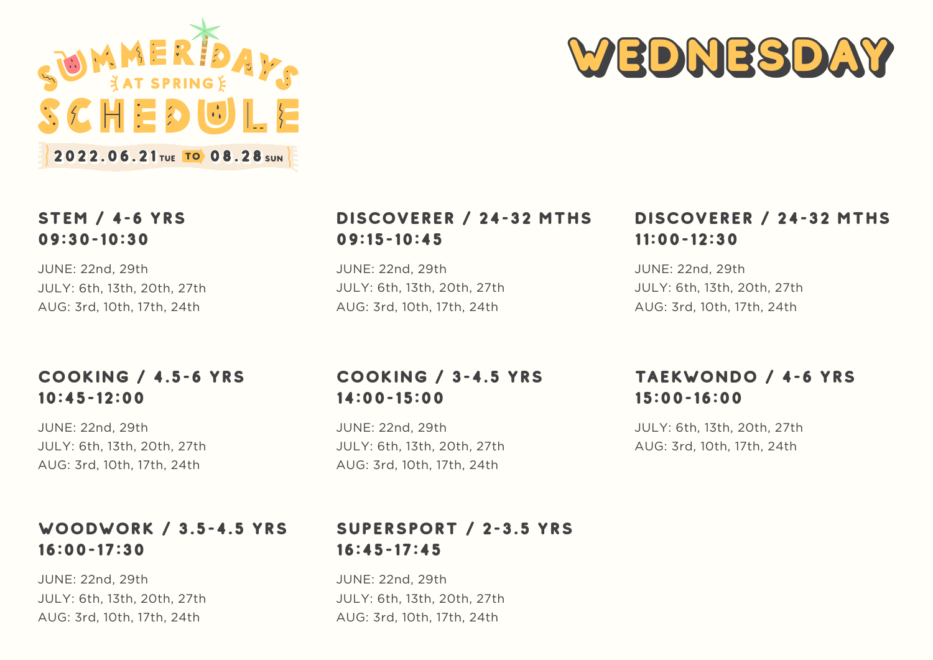



## STEM / 4-6 YRS 09:30-10:30

JUNE: 22nd, 29th JULY: 6th, 13th, 20th, 27th AUG: 3rd, 10th, 17th, 24th

#### COOKING / 4.5-6 YRS 10:45-12:00

JUNE: 22nd, 29th JULY: 6th, 13th, 20th, 27th AUG: 3rd, 10th, 17th, 24th

#### WOODWORK / 3.5-4.5 YRS 16:00-17:30

JUNE: 22nd, 29th JULY: 6th, 13th, 20th, 27th AUG: 3rd, 10th, 17th, 24th

## DISCOVERER / 24-32 MTHS 09:15-10:45

JUNE: 22nd, 29th JULY: 6th, 13th, 20th, 27th AUG: 3rd, 10th, 17th, 24th

## DISCOVERER / 24-32 MTHS 11:00-12:30

JUNE: 22nd, 29th JULY: 6th, 13th, 20th, 27th AUG: 3rd, 10th, 17th, 24th

## COOKING / 3-4.5 YRS 14:00-15:00

JUNE: 22nd, 29th JULY: 6th, 13th, 20th, 27th AUG: 3rd, 10th, 17th, 24th

## TAEKWONDO / 4-6 YRS 15:00-16:00

JULY: 6th, 13th, 20th, 27th AUG: 3rd, 10th, 17th, 24th

## SUPERSPORT / 2-3.5 YRS 16:45-17:45

JUNE: 22nd, 29th JULY: 6th, 13th, 20th, 27th AUG: 3rd, 10th, 17th, 24th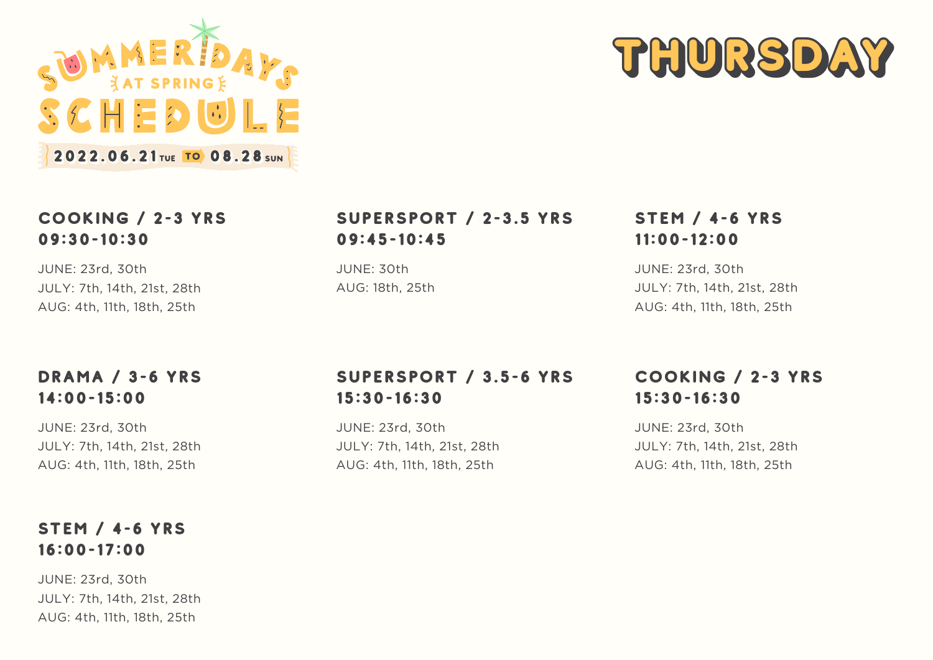



## COOKING / 2-3 YRS 09:30-10:30

JUNE: 23rd, 30th JULY: 7th, 14th, 21st, 28th AUG: 4th, 11th, 18th, 25th

#### DRAMA / 3-6 YRS 14:00-15:00

JUNE: 23rd, 30th JULY: 7th, 14th, 21st, 28th AUG: 4th, 11th, 18th, 25th

#### STEM / 4-6 YRS 16:00-17:00

JUNE: 23rd, 30th JULY: 7th, 14th, 21st, 28th AUG: 4th, 11th, 18th, 25th

## SUPERSPORT / 2-3.5 YRS 09:45-10:45

JUNE: 30th AUG: 18th, 25th

## STEM / 4-6 YRS 11:00-12:00

JUNE: 23rd, 30th JULY: 7th, 14th, 21st, 28th AUG: 4th, 11th, 18th, 25th

# SUPERSPORT / 3.5-6 YRS 15:30-16:30

JUNE: 23rd, 30th JULY: 7th, 14th, 21st, 28th AUG: 4th, 11th, 18th, 25th

## COOKING / 2-3 YRS 15:30-16:30

JUNE: 23rd, 30th JULY: 7th, 14th, 21st, 28th AUG: 4th, 11th, 18th, 25th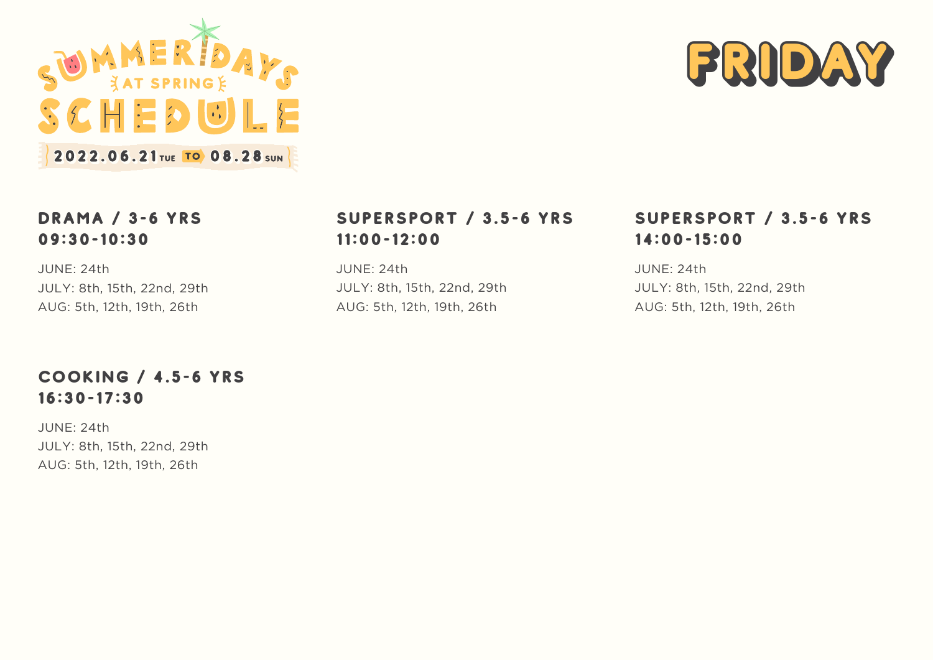



## DRAMA / 3-6 YRS 09:30-10:30

JUNE: 24th JULY: 8th, 15th, 22nd, 29th AUG: 5th, 12th, 19th, 26th

## SUPERSPORT / 3.5-6 YRS 11:00-12:00

JUNE: 24th JULY: 8th, 15th, 22nd, 29th AUG: 5th, 12th, 19th, 26th

## SUPERSPORT / 3.5-6 YRS 14:00-15:00

JUNE: 24th JULY: 8th, 15th, 22nd, 29th AUG: 5th, 12th, 19th, 26th

## COOKING / 4.5-6 YRS 16:30-17:30

JUNE: 24th JULY: 8th, 15th, 22nd, 29th AUG: 5th, 12th, 19th, 26th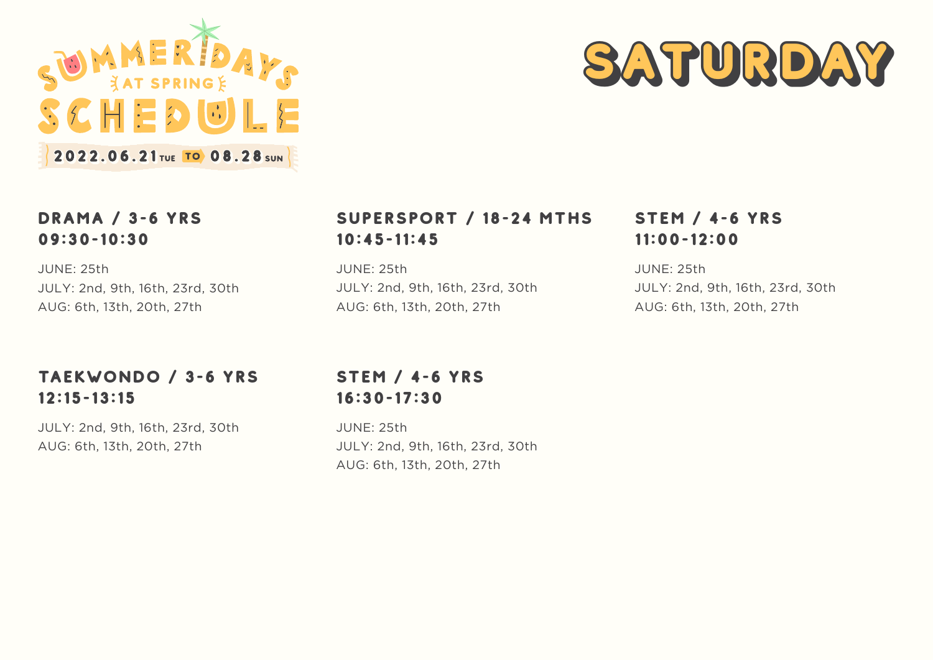



#### DRAMA / 3-6 YRS 09:30-10:30

JUNE: 25th JULY: 2nd, 9th, 16th, 23rd, 30th AUG: 6th, 13th, 20th, 27th

## TAEKWONDO / 3-6 YRS 12:15-13:15

JULY: 2nd, 9th, 16th, 23rd, 30th AUG: 6th, 13th, 20th, 27th

# SUPERSPORT / 18-24 MTHS 10:45-11:45

JUNE: 25th JULY: 2nd, 9th, 16th, 23rd, 30th AUG: 6th, 13th, 20th, 27th

## STEM / 4-6 YRS 16:30-17:30

JUNE: 25th JULY: 2nd, 9th, 16th, 23rd, 30th AUG: 6th, 13th, 20th, 27th

# STEM / 4-6 YRS 11:00-12:00

JUNE: 25th JULY: 2nd, 9th, 16th, 23rd, 30th AUG: 6th, 13th, 20th, 27th